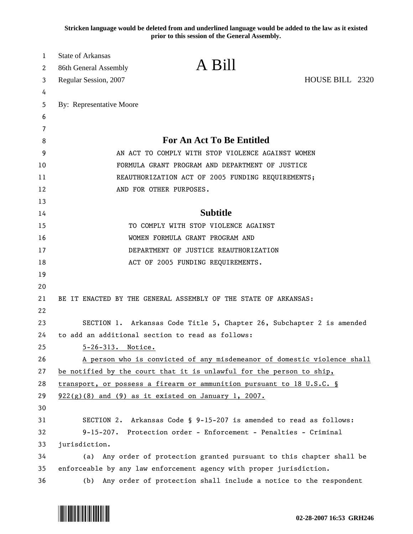**Stricken language would be deleted from and underlined language would be added to the law as it existed prior to this session of the General Assembly.**

| 1      | <b>State of Arkansas</b><br>A Bill                                       |  |
|--------|--------------------------------------------------------------------------|--|
| 2<br>3 | 86th General Assembly<br>HOUSE BILL 2320                                 |  |
| 4      | Regular Session, 2007                                                    |  |
| 5      | By: Representative Moore                                                 |  |
| 6      |                                                                          |  |
| 7      |                                                                          |  |
| 8      | For An Act To Be Entitled                                                |  |
| 9      | AN ACT TO COMPLY WITH STOP VIOLENCE AGAINST WOMEN                        |  |
| 10     | FORMULA GRANT PROGRAM AND DEPARTMENT OF JUSTICE                          |  |
| 11     | REAUTHORIZATION ACT OF 2005 FUNDING REQUIREMENTS;                        |  |
| 12     | AND FOR OTHER PURPOSES.                                                  |  |
| 13     |                                                                          |  |
| 14     | <b>Subtitle</b>                                                          |  |
| 15     | TO COMPLY WITH STOP VIOLENCE AGAINST                                     |  |
| 16     | WOMEN FORMULA GRANT PROGRAM AND                                          |  |
| 17     | DEPARTMENT OF JUSTICE REAUTHORIZATION                                    |  |
| 18     | ACT OF 2005 FUNDING REQUIREMENTS.                                        |  |
| 19     |                                                                          |  |
| 20     |                                                                          |  |
| 21     | BE IT ENACTED BY THE GENERAL ASSEMBLY OF THE STATE OF ARKANSAS:          |  |
| 22     |                                                                          |  |
| 23     | SECTION 1. Arkansas Code Title 5, Chapter 26, Subchapter 2 is amended    |  |
| 24     | to add an additional section to read as follows:                         |  |
| 25     | 5-26-313. Notice.                                                        |  |
| 26     | A person who is convicted of any misdemeanor of domestic violence shall  |  |
| 27     | be notified by the court that it is unlawful for the person to ship,     |  |
| 28     | transport, or possess a firearm or ammunition pursuant to 18 U.S.C. §    |  |
| 29     | $922(g)(8)$ and (9) as it existed on January 1, 2007.                    |  |
| 30     |                                                                          |  |
| 31     | SECTION 2. Arkansas Code § 9-15-207 is amended to read as follows:       |  |
| 32     | 9-15-207. Protection order - Enforcement - Penalties - Criminal          |  |
| 33     | jurisdiction.                                                            |  |
| 34     | Any order of protection granted pursuant to this chapter shall be<br>(a) |  |
| 35     | enforceable by any law enforcement agency with proper jurisdiction.      |  |
| 36     | Any order of protection shall include a notice to the respondent<br>(b)  |  |

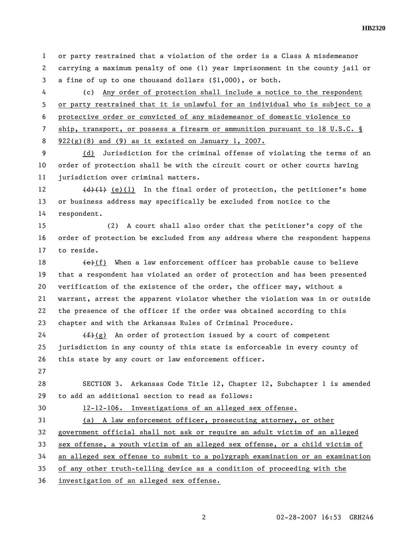1 or party restrained that a violation of the order is a Class A misdemeanor 2 carrying a maximum penalty of one (1) year imprisonment in the county jail or 3 a fine of up to one thousand dollars (\$1,000), or both.

4 (c) Any order of protection shall include a notice to the respondent 5 or party restrained that it is unlawful for an individual who is subject to a 6 protective order or convicted of any misdemeanor of domestic violence to 7 ship, transport, or possess a firearm or ammunition pursuant to 18 U.S.C. § 8 922(g)(8) and (9) as it existed on January 1, 2007.

9 (d) Jurisdiction for the criminal offense of violating the terms of an 10 order of protection shall be with the circuit court or other courts having 11 jurisdiction over criminal matters.

12 (d)(1) (e)(1) In the final order of protection, the petitioner's home 13 or business address may specifically be excluded from notice to the 14 respondent.

15 (2) A court shall also order that the petitioner's copy of the 16 order of protection be excluded from any address where the respondent happens 17 to reside.

18  $\leftarrow$  (f) When a law enforcement officer has probable cause to believe 19 that a respondent has violated an order of protection and has been presented 20 verification of the existence of the order, the officer may, without a 21 warrant, arrest the apparent violator whether the violation was in or outside 22 the presence of the officer if the order was obtained according to this 23 chapter and with the Arkansas Rules of Criminal Procedure.

24  $(f)(g)$  An order of protection issued by a court of competent 25 jurisdiction in any county of this state is enforceable in every county of 26 this state by any court or law enforcement officer.

27

28 SECTION 3. Arkansas Code Title 12, Chapter 12, Subchapter 1 is amended 29 to add an additional section to read as follows:

30 12-12-106. Investigations of an alleged sex offense.

31 (a) A law enforcement officer, prosecuting attorney, or other

32 government official shall not ask or require an adult victim of an alleged

33 sex offense, a youth victim of an alleged sex offense, or a child victim of

34 an alleged sex offense to submit to a polygraph examination or an examination

35 of any other truth-telling device as a condition of proceeding with the

36 investigation of an alleged sex offense.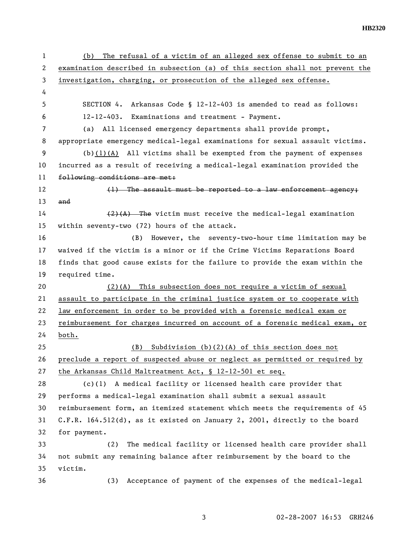| 1  | The refusal of a victim of an alleged sex offense to submit to an<br>(b)      |
|----|-------------------------------------------------------------------------------|
| 2  | examination described in subsection (a) of this section shall not prevent the |
| 3  | investigation, charging, or prosecution of the alleged sex offense.           |
| 4  |                                                                               |
| 5  | SECTION 4. Arkansas Code § 12-12-403 is amended to read as follows:           |
| 6  | 12-12-403. Examinations and treatment - Payment.                              |
| 7  | (a) All licensed emergency departments shall provide prompt,                  |
| 8  | appropriate emergency medical-legal examinations for sexual assault victims.  |
| 9  | $(b)(1)(A)$ All victims shall be exempted from the payment of expenses        |
| 10 | incurred as a result of receiving a medical-legal examination provided the    |
| 11 | following conditions are met:                                                 |
| 12 | (1) The assault must be reported to a law enforcement agency;                 |
| 13 | and                                                                           |
| 14 | $(2)$ $(A)$ The victim must receive the medical-legal examination             |
| 15 | within seventy-two (72) hours of the attack.                                  |
| 16 | However, the seventy-two-hour time limitation may be<br>(B)                   |
| 17 | waived if the victim is a minor or if the Crime Victims Reparations Board     |
| 18 | finds that good cause exists for the failure to provide the exam within the   |
| 19 | required time.                                                                |
| 20 | This subsection does not require a victim of sexual<br>(2)(A)                 |
| 21 | assault to participate in the criminal justice system or to cooperate with    |
| 22 | law enforcement in order to be provided with a forensic medical exam or       |
| 23 | reimbursement for charges incurred on account of a forensic medical exam, or  |
| 24 | both.                                                                         |
| 25 | Subdivision $(b)(2)(A)$ of this section does not<br>(B)                       |
| 26 | preclude a report of suspected abuse or neglect as permitted or required by   |
| 27 | the Arkansas Child Maltreatment Act, § 12-12-501 et seq.                      |
| 28 | (c)(1) A medical facility or licensed health care provider that               |
| 29 | performs a medical-legal examination shall submit a sexual assault            |
| 30 | reimbursement form, an itemized statement which meets the requirements of 45  |
| 31 | C.F.R. 164.512(d), as it existed on January 2, 2001, directly to the board    |
| 32 | for payment.                                                                  |
| 33 | The medical facility or licensed health care provider shall<br>(2)            |
| 34 | not submit any remaining balance after reimbursement by the board to the      |
| 35 | victim.                                                                       |
| 36 | Acceptance of payment of the expenses of the medical-legal<br>(3)             |